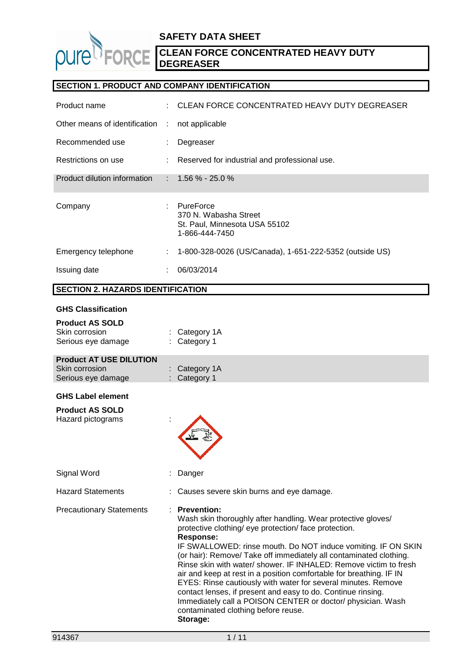

#### **SECTION 1. PRODUCT AND COMPANY IDENTIFICATION**

| Product name                    |   | CLEAN FORCE CONCENTRATED HEAVY DUTY DEGREASER                                         |  |
|---------------------------------|---|---------------------------------------------------------------------------------------|--|
| Other means of identification : |   | not applicable                                                                        |  |
| Recommended use                 |   | Degreaser                                                                             |  |
| Restrictions on use             |   | : Reserved for industrial and professional use.                                       |  |
| Product dilution information    |   | $: 1.56\% - 25.0\%$                                                                   |  |
| Company                         |   | PureForce<br>370 N. Wabasha Street<br>St. Paul, Minnesota USA 55102<br>1-866-444-7450 |  |
| Emergency telephone             | ÷ | 1-800-328-0026 (US/Canada), 1-651-222-5352 (outside US)                               |  |
| Issuing date                    |   | 06/03/2014                                                                            |  |

#### **SECTION 2. HAZARDS IDENTIFICATION**

#### **GHS Classification**

| <b>Product AS SOLD</b><br>Skin corrosion<br>Serious eye damage         | : Category 1A<br>: Category 1 |
|------------------------------------------------------------------------|-------------------------------|
| <b>Product AT USE DILUTION</b><br>Skin corrosion<br>Serious eye damage | : Category 1A<br>: Category 1 |
| <b>GHS Label element</b>                                               |                               |
| <b>Product AS SOLD</b><br>Hazard pictograms                            |                               |

Signal Word : Danger Hazard Statements : Causes severe skin burns and eye damage. Precautionary Statements : **Prevention:**  Wash skin thoroughly after handling. Wear protective gloves/ protective clothing/ eye protection/ face protection. **Response:**  IF SWALLOWED: rinse mouth. Do NOT induce vomiting. IF ON SKIN (or hair): Remove/ Take off immediately all contaminated clothing. Rinse skin with water/ shower. IF INHALED: Remove victim to fresh air and keep at rest in a position comfortable for breathing. IF IN EYES: Rinse cautiously with water for several minutes. Remove contact lenses, if present and easy to do. Continue rinsing. Immediately call a POISON CENTER or doctor/ physician. Wash contaminated clothing before reuse. **Storage:**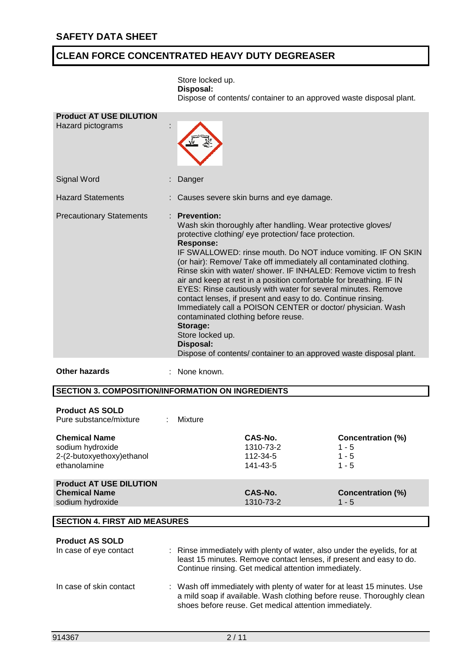|                                                     | Store locked up.<br>Disposal:<br>Dispose of contents/ container to an approved waste disposal plant.                                                                                                                                                                                                                                                                                                                                                                                                                                                                                                                                                                                                                                                                                                    |
|-----------------------------------------------------|---------------------------------------------------------------------------------------------------------------------------------------------------------------------------------------------------------------------------------------------------------------------------------------------------------------------------------------------------------------------------------------------------------------------------------------------------------------------------------------------------------------------------------------------------------------------------------------------------------------------------------------------------------------------------------------------------------------------------------------------------------------------------------------------------------|
| <b>Product AT USE DILUTION</b><br>Hazard pictograms |                                                                                                                                                                                                                                                                                                                                                                                                                                                                                                                                                                                                                                                                                                                                                                                                         |
| Signal Word                                         | Danger                                                                                                                                                                                                                                                                                                                                                                                                                                                                                                                                                                                                                                                                                                                                                                                                  |
| <b>Hazard Statements</b>                            | Causes severe skin burns and eye damage.                                                                                                                                                                                                                                                                                                                                                                                                                                                                                                                                                                                                                                                                                                                                                                |
| <b>Precautionary Statements</b>                     | : Prevention:<br>Wash skin thoroughly after handling. Wear protective gloves/<br>protective clothing/ eye protection/ face protection.<br><b>Response:</b><br>IF SWALLOWED: rinse mouth. Do NOT induce vomiting. IF ON SKIN<br>(or hair): Remove/ Take off immediately all contaminated clothing.<br>Rinse skin with water/shower. IF INHALED: Remove victim to fresh<br>air and keep at rest in a position comfortable for breathing. IF IN<br>EYES: Rinse cautiously with water for several minutes. Remove<br>contact lenses, if present and easy to do. Continue rinsing.<br>Immediately call a POISON CENTER or doctor/ physician. Wash<br>contaminated clothing before reuse.<br>Storage:<br>Store locked up.<br>Disposal:<br>Dispose of contents/ container to an approved waste disposal plant. |
| <b>Other hazards</b>                                | None known.                                                                                                                                                                                                                                                                                                                                                                                                                                                                                                                                                                                                                                                                                                                                                                                             |

**SECTION 3. COMPOSITION/INFORMATION ON INGREDIENTS**

| <b>Product AS SOLD</b><br>Pure substance/mixture<br>÷                                 | Mixture |                                              |                                                           |
|---------------------------------------------------------------------------------------|---------|----------------------------------------------|-----------------------------------------------------------|
| <b>Chemical Name</b><br>sodium hydroxide<br>2-(2-butoxyethoxy)ethanol<br>ethanolamine |         | CAS-No.<br>1310-73-2<br>112-34-5<br>141-43-5 | <b>Concentration (%)</b><br>$1 - 5$<br>$1 - 5$<br>$1 - 5$ |
| <b>Product AT USE DILUTION</b><br><b>Chemical Name</b><br>sodium hydroxide            |         | CAS-No.<br>1310-73-2                         | <b>Concentration (%)</b><br>$1 - 5$                       |

### **SECTION 4. FIRST AID MEASURES**

#### **Product AS SOLD**

| In case of eye contact  | : Rinse immediately with plenty of water, also under the eyelids, for at<br>least 15 minutes. Remove contact lenses, if present and easy to do.<br>Continue rinsing. Get medical attention immediately.      |
|-------------------------|--------------------------------------------------------------------------------------------------------------------------------------------------------------------------------------------------------------|
| In case of skin contact | : Wash off immediately with plenty of water for at least 15 minutes. Use<br>a mild soap if available. Wash clothing before reuse. Thoroughly clean<br>shoes before reuse. Get medical attention immediately. |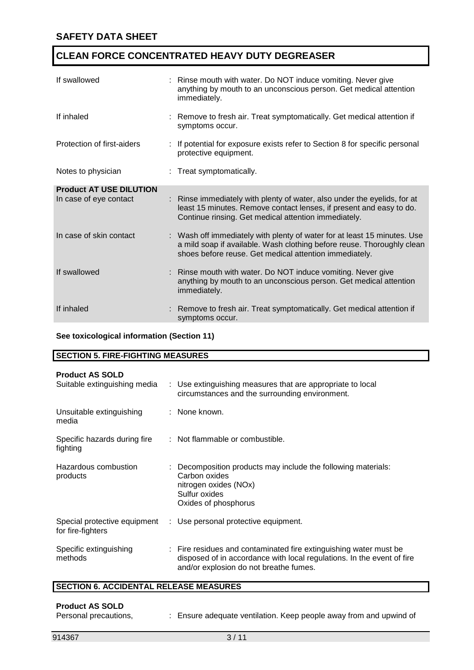| If swallowed                   | : Rinse mouth with water. Do NOT induce vomiting. Never give<br>anything by mouth to an unconscious person. Get medical attention<br>immediately.                                                            |
|--------------------------------|--------------------------------------------------------------------------------------------------------------------------------------------------------------------------------------------------------------|
| If inhaled                     | : Remove to fresh air. Treat symptomatically. Get medical attention if<br>symptoms occur.                                                                                                                    |
| Protection of first-aiders     | : If potential for exposure exists refer to Section 8 for specific personal<br>protective equipment.                                                                                                         |
| Notes to physician             | : Treat symptomatically.                                                                                                                                                                                     |
| <b>Product AT USE DILUTION</b> |                                                                                                                                                                                                              |
| In case of eye contact         | : Rinse immediately with plenty of water, also under the eyelids, for at<br>least 15 minutes. Remove contact lenses, if present and easy to do.<br>Continue rinsing. Get medical attention immediately.      |
| In case of skin contact        | : Wash off immediately with plenty of water for at least 15 minutes. Use<br>a mild soap if available. Wash clothing before reuse. Thoroughly clean<br>shoes before reuse. Get medical attention immediately. |
| If swallowed                   | : Rinse mouth with water. Do NOT induce vomiting. Never give<br>anything by mouth to an unconscious person. Get medical attention<br>immediately.                                                            |
| If inhaled                     | : Remove to fresh air. Treat symptomatically. Get medical attention if<br>symptoms occur.                                                                                                                    |

**See toxicological information (Section 11)**

# **SECTION 5. FIRE-FIGHTING MEASURES**

| <b>Product AS SOLD</b><br>Suitable extinguishing media | : Use extinguishing measures that are appropriate to local<br>circumstances and the surrounding environment.                                                                          |
|--------------------------------------------------------|---------------------------------------------------------------------------------------------------------------------------------------------------------------------------------------|
| Unsuitable extinguishing<br>media                      | : None known.                                                                                                                                                                         |
| Specific hazards during fire<br>fighting               | : Not flammable or combustible.                                                                                                                                                       |
| Hazardous combustion<br>products                       | : Decomposition products may include the following materials:<br>Carbon oxides<br>nitrogen oxides (NOx)<br>Sulfur oxides<br>Oxides of phosphorus                                      |
| Special protective equipment<br>for fire-fighters      | : Use personal protective equipment.                                                                                                                                                  |
| Specific extinguishing<br>methods                      | : Fire residues and contaminated fire extinguishing water must be<br>disposed of in accordance with local regulations. In the event of fire<br>and/or explosion do not breathe fumes. |

#### **SECTION 6. ACCIDENTAL RELEASE MEASURES**

# **Product AS SOLD**<br>Personal precautions,

: Ensure adequate ventilation. Keep people away from and upwind of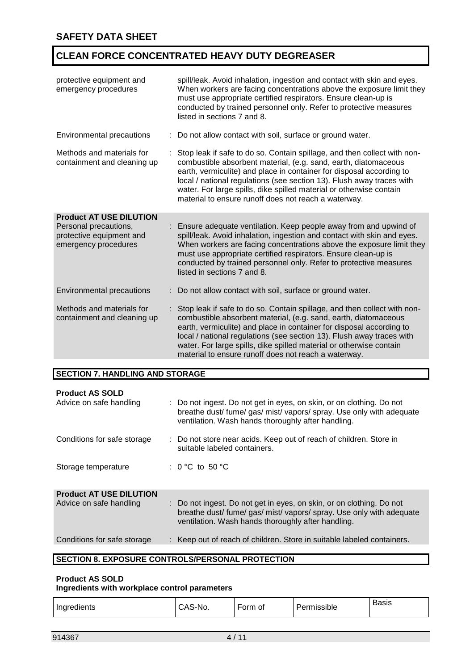| protective equipment and<br>emergency procedures                                                            | spill/leak. Avoid inhalation, ingestion and contact with skin and eyes.<br>When workers are facing concentrations above the exposure limit they<br>must use appropriate certified respirators. Ensure clean-up is<br>conducted by trained personnel only. Refer to protective measures<br>listed in sections 7 and 8.                                                                                                       |
|-------------------------------------------------------------------------------------------------------------|-----------------------------------------------------------------------------------------------------------------------------------------------------------------------------------------------------------------------------------------------------------------------------------------------------------------------------------------------------------------------------------------------------------------------------|
| <b>Environmental precautions</b>                                                                            | Do not allow contact with soil, surface or ground water.                                                                                                                                                                                                                                                                                                                                                                    |
| Methods and materials for<br>containment and cleaning up                                                    | Stop leak if safe to do so. Contain spillage, and then collect with non-<br>combustible absorbent material, (e.g. sand, earth, diatomaceous<br>earth, vermiculite) and place in container for disposal according to<br>local / national regulations (see section 13). Flush away traces with<br>water. For large spills, dike spilled material or otherwise contain<br>material to ensure runoff does not reach a waterway. |
| <b>Product AT USE DILUTION</b><br>Personal precautions,<br>protective equipment and<br>emergency procedures | Ensure adequate ventilation. Keep people away from and upwind of<br>spill/leak. Avoid inhalation, ingestion and contact with skin and eyes.<br>When workers are facing concentrations above the exposure limit they<br>must use appropriate certified respirators. Ensure clean-up is<br>conducted by trained personnel only. Refer to protective measures<br>listed in sections 7 and 8.                                   |
| <b>Environmental precautions</b>                                                                            | Do not allow contact with soil, surface or ground water.                                                                                                                                                                                                                                                                                                                                                                    |
| Methods and materials for<br>containment and cleaning up                                                    | Stop leak if safe to do so. Contain spillage, and then collect with non-<br>combustible absorbent material, (e.g. sand, earth, diatomaceous<br>earth, vermiculite) and place in container for disposal according to<br>local / national regulations (see section 13). Flush away traces with<br>water. For large spills, dike spilled material or otherwise contain<br>material to ensure runoff does not reach a waterway. |
|                                                                                                             |                                                                                                                                                                                                                                                                                                                                                                                                                             |

#### **SECTION 7. HANDLING AND STORAGE**

| <b>Product AS SOLD</b><br>Advice on safe handling | : Do not ingest. Do not get in eyes, on skin, or on clothing. Do not<br>breathe dust/fume/gas/mist/vapors/spray. Use only with adequate<br>ventilation. Wash hands thoroughly after handling.      |
|---------------------------------------------------|----------------------------------------------------------------------------------------------------------------------------------------------------------------------------------------------------|
| Conditions for safe storage                       | : Do not store near acids. Keep out of reach of children. Store in<br>suitable labeled containers.                                                                                                 |
| Storage temperature                               | : 0 °C to 50 °C                                                                                                                                                                                    |
| <b>Product AT USE DILUTION</b>                    |                                                                                                                                                                                                    |
| Advice on safe handling                           | : Do not ingest. Do not get in eyes, on skin, or on clothing. Do not<br>breathe dust/ fume/ gas/ mist/ vapors/ spray. Use only with adequate<br>ventilation. Wash hands thoroughly after handling. |
| Conditions for safe storage                       | : Keep out of reach of children. Store in suitable labeled containers.                                                                                                                             |
|                                                   |                                                                                                                                                                                                    |

#### **SECTION 8. EXPOSURE CONTROLS/PERSONAL PROTECTION**

#### **Product AS SOLD Ingredients with workplace control parameters**

| Ingredients<br>. . | $\mathbf{u}$<br>'NU.<br>- -<br>J⊓J- | <br>orm<br>οt<br>$\sim$ | <br>ermissible. | -<br>Basis |
|--------------------|-------------------------------------|-------------------------|-----------------|------------|
|--------------------|-------------------------------------|-------------------------|-----------------|------------|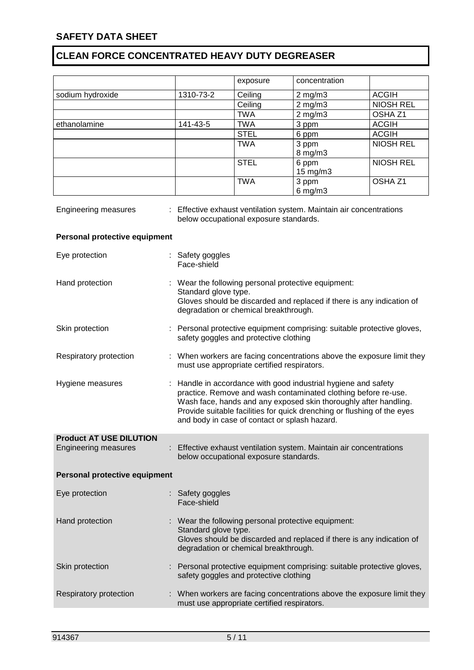|                                                               |                                 | exposure                                      | concentration                                                                                                                                                                                                                                                                 |                    |
|---------------------------------------------------------------|---------------------------------|-----------------------------------------------|-------------------------------------------------------------------------------------------------------------------------------------------------------------------------------------------------------------------------------------------------------------------------------|--------------------|
| sodium hydroxide                                              | 1310-73-2                       | Ceiling                                       | $2$ mg/m $3$                                                                                                                                                                                                                                                                  | <b>ACGIH</b>       |
|                                                               |                                 | Ceiling                                       | $2$ mg/m $3$                                                                                                                                                                                                                                                                  | <b>NIOSH REL</b>   |
|                                                               |                                 | <b>TWA</b>                                    | $2$ mg/m $3$                                                                                                                                                                                                                                                                  | OSHA Z1            |
| ethanolamine                                                  | 141-43-5                        | <b>TWA</b>                                    | 3 ppm                                                                                                                                                                                                                                                                         | <b>ACGIH</b>       |
|                                                               |                                 | <b>STEL</b>                                   | 6 ppm                                                                                                                                                                                                                                                                         | <b>ACGIH</b>       |
|                                                               |                                 | <b>TWA</b>                                    | 3 ppm                                                                                                                                                                                                                                                                         | <b>NIOSH REL</b>   |
|                                                               |                                 |                                               | 8 mg/m3                                                                                                                                                                                                                                                                       |                    |
|                                                               |                                 | <b>STEL</b>                                   | $6$ ppm                                                                                                                                                                                                                                                                       | <b>NIOSH REL</b>   |
|                                                               |                                 |                                               | 15 mg/m3                                                                                                                                                                                                                                                                      |                    |
|                                                               |                                 | <b>TWA</b>                                    | 3 ppm                                                                                                                                                                                                                                                                         | OSHA <sub>Z1</sub> |
|                                                               |                                 |                                               | $6$ mg/m $3$                                                                                                                                                                                                                                                                  |                    |
| <b>Engineering measures</b>                                   |                                 | below occupational exposure standards.        | : Effective exhaust ventilation system. Maintain air concentrations                                                                                                                                                                                                           |                    |
| Personal protective equipment                                 |                                 |                                               |                                                                                                                                                                                                                                                                               |                    |
| Eye protection                                                | : Safety goggles<br>Face-shield |                                               |                                                                                                                                                                                                                                                                               |                    |
| Hand protection                                               | Standard glove type.            | degradation or chemical breakthrough.         | : Wear the following personal protective equipment:<br>Gloves should be discarded and replaced if there is any indication of                                                                                                                                                  |                    |
| Skin protection                                               |                                 | safety goggles and protective clothing        | Personal protective equipment comprising: suitable protective gloves,                                                                                                                                                                                                         |                    |
| Respiratory protection                                        |                                 | must use appropriate certified respirators.   | : When workers are facing concentrations above the exposure limit they                                                                                                                                                                                                        |                    |
| Hygiene measures                                              |                                 | and body in case of contact or splash hazard. | Handle in accordance with good industrial hygiene and safety<br>practice. Remove and wash contaminated clothing before re-use.<br>Wash face, hands and any exposed skin thoroughly after handling.<br>Provide suitable facilities for quick drenching or flushing of the eyes |                    |
| <b>Product AT USE DILUTION</b><br><b>Engineering measures</b> |                                 | below occupational exposure standards.        | : Effective exhaust ventilation system. Maintain air concentrations                                                                                                                                                                                                           |                    |
| Personal protective equipment                                 |                                 |                                               |                                                                                                                                                                                                                                                                               |                    |
| Eye protection                                                | : Safety goggles<br>Face-shield |                                               |                                                                                                                                                                                                                                                                               |                    |
| Hand protection                                               | Standard glove type.            | degradation or chemical breakthrough.         | : Wear the following personal protective equipment:<br>Gloves should be discarded and replaced if there is any indication of                                                                                                                                                  |                    |
| Skin protection                                               |                                 | safety goggles and protective clothing        | : Personal protective equipment comprising: suitable protective gloves,                                                                                                                                                                                                       |                    |
| Respiratory protection                                        |                                 | must use appropriate certified respirators.   | : When workers are facing concentrations above the exposure limit they                                                                                                                                                                                                        |                    |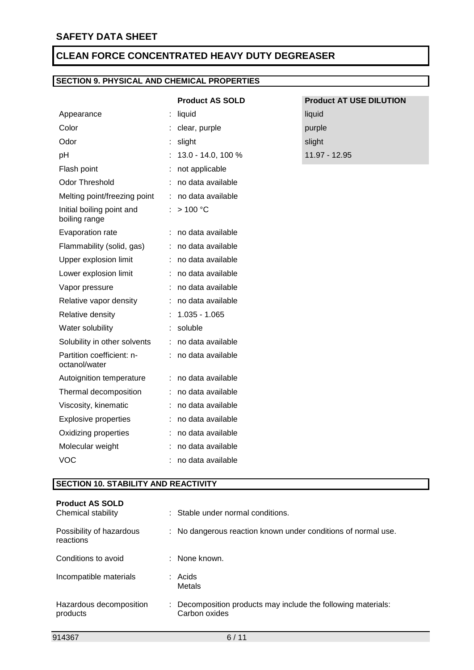# **SECTION 9. PHYSICAL AND CHEMICAL PROPERTIES**

|                                            |    | <b>Product AS SOLD</b> | Produ  |
|--------------------------------------------|----|------------------------|--------|
| Appearance                                 | ÷  | liquid                 | liquid |
| Color                                      |    | clear, purple          | purple |
| Odor                                       |    | slight                 | slight |
| pH                                         | ÷  | 13.0 - 14.0, 100 %     | 11.97  |
| Flash point                                |    | not applicable         |        |
| <b>Odor Threshold</b>                      |    | no data available      |        |
| Melting point/freezing point               | ÷  | no data available      |        |
| Initial boiling point and<br>boiling range |    | >100 °C                |        |
| Evaporation rate                           |    | no data available      |        |
| Flammability (solid, gas)                  |    | no data available      |        |
| Upper explosion limit                      |    | no data available      |        |
| Lower explosion limit                      | ÷  | no data available      |        |
| Vapor pressure                             |    | no data available      |        |
| Relative vapor density                     |    | no data available      |        |
| Relative density                           |    | $1.035 - 1.065$        |        |
| Water solubility                           |    | soluble                |        |
| Solubility in other solvents               | ÷. | no data available      |        |
| Partition coefficient: n-<br>octanol/water |    | no data available      |        |
| Autoignition temperature                   | ÷  | no data available      |        |
| Thermal decomposition                      | ÷. | no data available      |        |
| Viscosity, kinematic                       |    | no data available      |        |
| <b>Explosive properties</b>                |    | no data available      |        |
| Oxidizing properties                       |    | no data available      |        |
| Molecular weight                           |    | no data available      |        |
| <b>VOC</b>                                 |    | no data available      |        |

# **Product AT USE DILUTION**

11.97 - 12.95

### **SECTION 10. STABILITY AND REACTIVITY**

| <b>Product AS SOLD</b><br>Chemical stability | : Stable under normal conditions.                                              |
|----------------------------------------------|--------------------------------------------------------------------------------|
| Possibility of hazardous<br>reactions        | : No dangerous reaction known under conditions of normal use.                  |
| Conditions to avoid                          | $\therefore$ None known.                                                       |
| Incompatible materials                       | : Acids<br>Metals                                                              |
| Hazardous decomposition<br>products          | : Decomposition products may include the following materials:<br>Carbon oxides |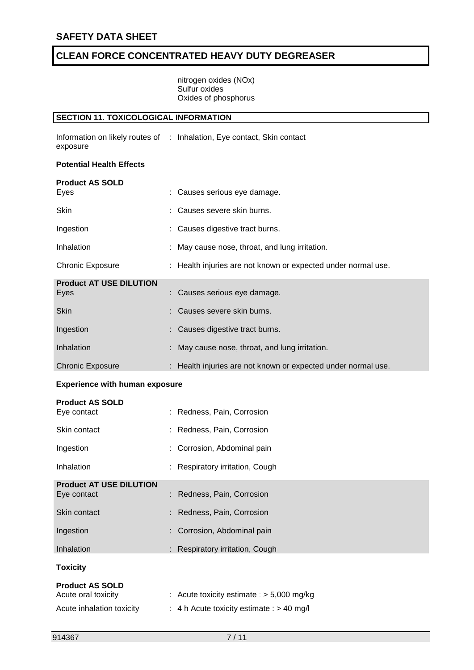nitrogen oxides (NOx) Sulfur oxides Oxides of phosphorus

### **SECTION 11. TOXICOLOGICAL INFORMATION**

|          | Information on likely routes of : Inhalation, Eye contact, Skin contact |
|----------|-------------------------------------------------------------------------|
| exposure |                                                                         |

#### **Potential Health Effects**

| <b>Product AS SOLD</b><br>Eyes         | : Causes serious eye damage.                                  |
|----------------------------------------|---------------------------------------------------------------|
| <b>Skin</b>                            | : Causes severe skin burns.                                   |
| Ingestion                              | : Causes digestive tract burns.                               |
| Inhalation                             | : May cause nose, throat, and lung irritation.                |
| Chronic Exposure                       | : Health injuries are not known or expected under normal use. |
| <b>Product AT USE DILUTION</b><br>Eyes | Causes serious eye damage.                                    |
| <b>Skin</b>                            | : Causes severe skin burns.                                   |
| Ingestion                              | : Causes digestive tract burns.                               |
| Inhalation                             | May cause nose, throat, and lung irritation.                  |
| <b>Chronic Exposure</b>                | : Health injuries are not known or expected under normal use. |
|                                        |                                                               |

#### **Experience with human exposure**

| <b>Product AS SOLD</b>         |                                             |
|--------------------------------|---------------------------------------------|
| Eye contact                    | : Redness, Pain, Corrosion                  |
| Skin contact                   | : Redness, Pain, Corrosion                  |
| Ingestion                      | : Corrosion, Abdominal pain                 |
| Inhalation                     | : Respiratory irritation, Cough             |
| <b>Product AT USE DILUTION</b> |                                             |
| Eye contact                    | : Redness, Pain, Corrosion                  |
| Skin contact                   | : Redness, Pain, Corrosion                  |
| Ingestion                      | : Corrosion, Abdominal pain                 |
| Inhalation                     | : Respiratory irritation, Cough             |
| <b>Toxicity</b>                |                                             |
| <b>Product AS SOLD</b>         |                                             |
| Acute oral toxicity            | : Acute toxicity estimate : $>$ 5,000 mg/kg |
| Acute inhalation toxicity      | : 4 h Acute toxicity estimate : $> 40$ mg/l |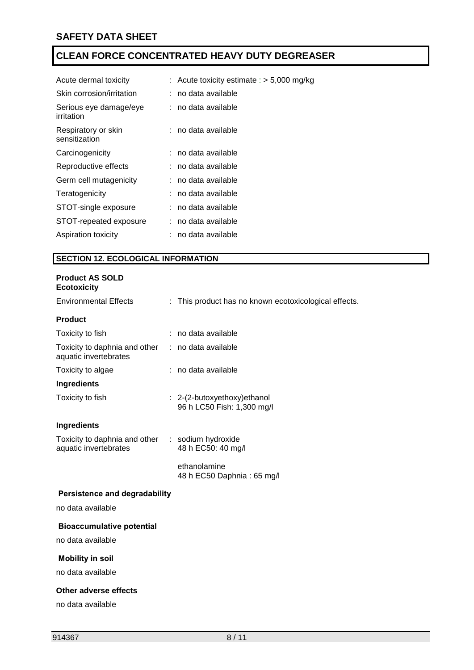| Acute dermal toxicity                | : Acute toxicity estimate : $> 5,000$ mg/kg |
|--------------------------------------|---------------------------------------------|
| Skin corrosion/irritation            | : no data available                         |
| Serious eye damage/eye<br>irritation | : no data available                         |
| Respiratory or skin<br>sensitization | : no data available                         |
| Carcinogenicity                      | : no data available                         |
| Reproductive effects                 | : no data available                         |
| Germ cell mutagenicity               | : no data available                         |
| Teratogenicity                       | : no data available                         |
| STOT-single exposure                 | : no data available                         |
| STOT-repeated exposure               | : no data available                         |
| Aspiration toxicity                  | : no data available                         |
|                                      |                                             |

# **SECTION 12. ECOLOGICAL INFORMATION**

| <b>Product AS SOLD</b> |  |
|------------------------|--|
| <b>Ecotoxicity</b>     |  |

| <b>Environmental Effects</b>                                              | : This product has no known ecotoxicological effects.      |
|---------------------------------------------------------------------------|------------------------------------------------------------|
| <b>Product</b>                                                            |                                                            |
| Toxicity to fish                                                          | : no data available                                        |
| Toxicity to daphnia and other<br>aquatic invertebrates                    | : no data available                                        |
| Toxicity to algae                                                         | : no data available                                        |
| <b>Ingredients</b>                                                        |                                                            |
| Toxicity to fish                                                          | : 2-(2-butoxyethoxy) ethanol<br>96 h LC50 Fish: 1,300 mg/l |
| <b>Ingredients</b>                                                        |                                                            |
| Toxicity to daphnia and other : sodium hydroxide<br>aquatic invertebrates | 48 h EC50: 40 mg/l                                         |
|                                                                           | ethanolamine<br>48 h EC50 Daphnia: 65 mg/l                 |
| Persistence and degradability                                             |                                                            |
| no data available                                                         |                                                            |
| <b>Bioaccumulative potential</b>                                          |                                                            |
| no data available                                                         |                                                            |
| <b>Mobility in soil</b>                                                   |                                                            |
| no data available                                                         |                                                            |
| Other adverse effects                                                     |                                                            |
| no data available                                                         |                                                            |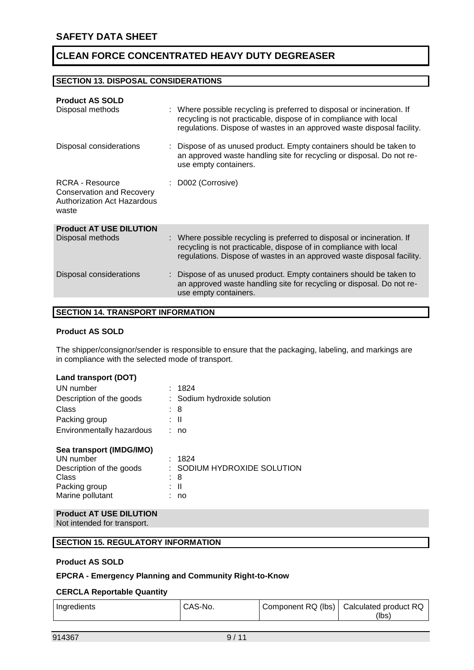#### **SECTION 13. DISPOSAL CONSIDERATIONS**

| : Where possible recycling is preferred to disposal or incineration. If<br>regulations. Dispose of wastes in an approved waste disposal facility. |
|---------------------------------------------------------------------------------------------------------------------------------------------------|
| : Dispose of as unused product. Empty containers should be taken to<br>an approved waste handling site for recycling or disposal. Do not re-      |
|                                                                                                                                                   |
| : Where possible recycling is preferred to disposal or incineration. If                                                                           |
| regulations. Dispose of wastes in an approved waste disposal facility.                                                                            |
| : Dispose of as unused product. Empty containers should be taken to<br>an approved waste handling site for recycling or disposal. Do not re-      |
|                                                                                                                                                   |

#### **SECTION 14. TRANSPORT INFORMATION**

#### **Product AS SOLD**

The shipper/consignor/sender is responsible to ensure that the packaging, labeling, and markings are in compliance with the selected mode of transport.

#### **Land transport (DOT)**

| UN number                        | 1824                        |
|----------------------------------|-----------------------------|
| Description of the goods         | : Sodium hydroxide solution |
| Class                            | : 8                         |
| Packing group                    | : II                        |
| <b>Environmentally hazardous</b> | no                          |
| Sea transport (IMDG/IMO)         |                             |
| UN number                        | 1824                        |

| UN number                | : 1824                      |
|--------------------------|-----------------------------|
| Description of the goods | : SODIUM HYDROXIDE SOLUTION |
| Class                    | : 8                         |
| Packing group            | ÷ II                        |
| .                        |                             |

## **Product AT USE DILUTION**

Marine pollutant : no

Not intended for transport.

#### **SECTION 15. REGULATORY INFORMATION**

#### **Product AS SOLD**

#### **EPCRA - Emergency Planning and Community Right-to-Know**

#### **CERCLA Reportable Quantity**

| Ingredients | CAS-No. | Component RQ (lbs) Calculated product RQ |
|-------------|---------|------------------------------------------|
|             |         | (lbs                                     |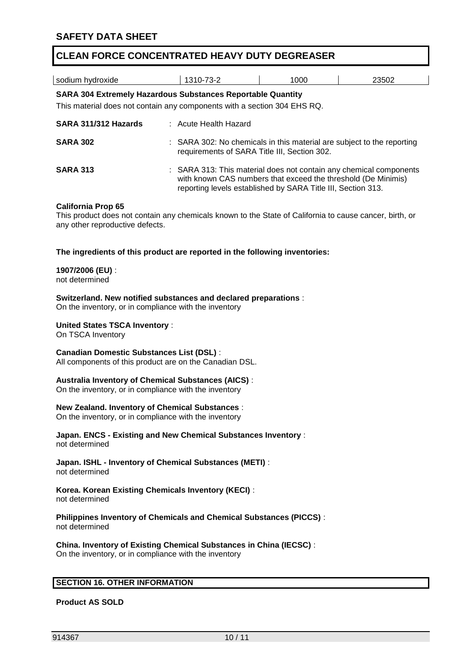| sodium hydroxide                                                                                                                               |                       | 1310-73-2                                                                                                                                                                                           | 1000 | 23502 |  |  |
|------------------------------------------------------------------------------------------------------------------------------------------------|-----------------------|-----------------------------------------------------------------------------------------------------------------------------------------------------------------------------------------------------|------|-------|--|--|
| <b>SARA 304 Extremely Hazardous Substances Reportable Quantity</b><br>This material does not contain any components with a section 304 EHS RQ. |                       |                                                                                                                                                                                                     |      |       |  |  |
| SARA 311/312 Hazards                                                                                                                           | : Acute Health Hazard |                                                                                                                                                                                                     |      |       |  |  |
| <b>SARA 302</b>                                                                                                                                |                       | : SARA 302: No chemicals in this material are subject to the reporting<br>requirements of SARA Title III, Section 302.                                                                              |      |       |  |  |
| <b>SARA 313</b>                                                                                                                                |                       | : SARA 313: This material does not contain any chemical components<br>with known CAS numbers that exceed the threshold (De Minimis)<br>reporting levels established by SARA Title III, Section 313. |      |       |  |  |
| <b>California Prop 65</b><br>This product does not contain any chemicals known to the State of California to cause cancer, birth, or           |                       |                                                                                                                                                                                                     |      |       |  |  |

does not contain any chemicals known to the State of California to cause cancer, birth, or any other reproductive defects.

**The ingredients of this product are reported in the following inventories:**

**1907/2006 (EU)** : not determined

**Switzerland. New notified substances and declared preparations** : On the inventory, or in compliance with the inventory

**United States TSCA Inventory** :

On TSCA Inventory

**Canadian Domestic Substances List (DSL)** :

All components of this product are on the Canadian DSL.

**Australia Inventory of Chemical Substances (AICS)** :

On the inventory, or in compliance with the inventory

#### **New Zealand. Inventory of Chemical Substances** :

On the inventory, or in compliance with the inventory

**Japan. ENCS - Existing and New Chemical Substances Inventory** : not determined

**Japan. ISHL - Inventory of Chemical Substances (METI)** : not determined

**Korea. Korean Existing Chemicals Inventory (KECI)** : not determined

**Philippines Inventory of Chemicals and Chemical Substances (PICCS)** : not determined

**China. Inventory of Existing Chemical Substances in China (IECSC)** : On the inventory, or in compliance with the inventory

#### **SECTION 16. OTHER INFORMATION**

**Product AS SOLD**